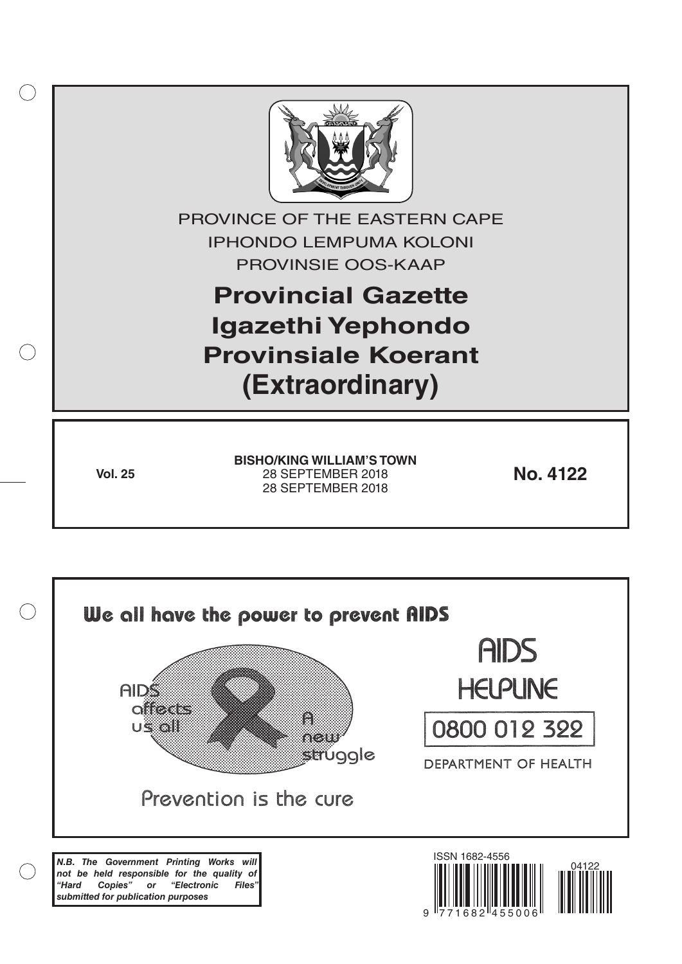

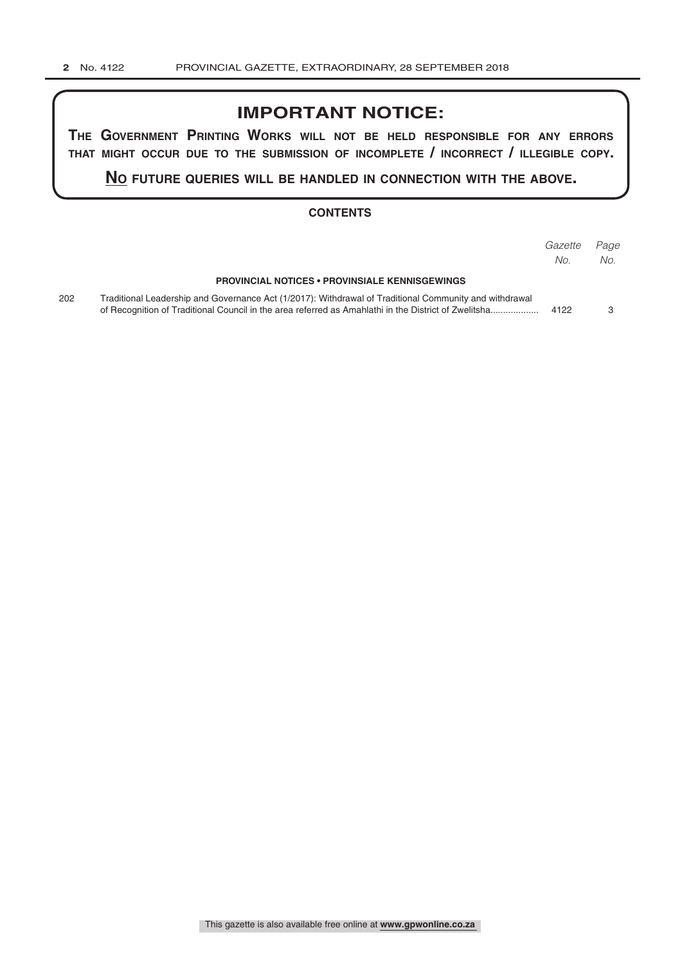## **IMPORTANT NOTICE:**

**The GovernmenT PrinTinG Works Will noT be held resPonsible for any errors ThaT miGhT occur due To The submission of incomPleTe / incorrecT / illeGible coPy.**

**no fuTure queries Will be handled in connecTion WiTh The above.**

#### **CONTENTS**

|     |                                                                                                                                                                                                                | Gazette<br>No. | Page<br>No. |
|-----|----------------------------------------------------------------------------------------------------------------------------------------------------------------------------------------------------------------|----------------|-------------|
|     | <b>PROVINCIAL NOTICES • PROVINSIALE KENNISGEWINGS</b>                                                                                                                                                          |                |             |
| 202 | Traditional Leadership and Governance Act (1/2017): Withdrawal of Traditional Community and withdrawal<br>of Recognition of Traditional Council in the area referred as Amahlathi in the District of Zwelitsha | 4122           |             |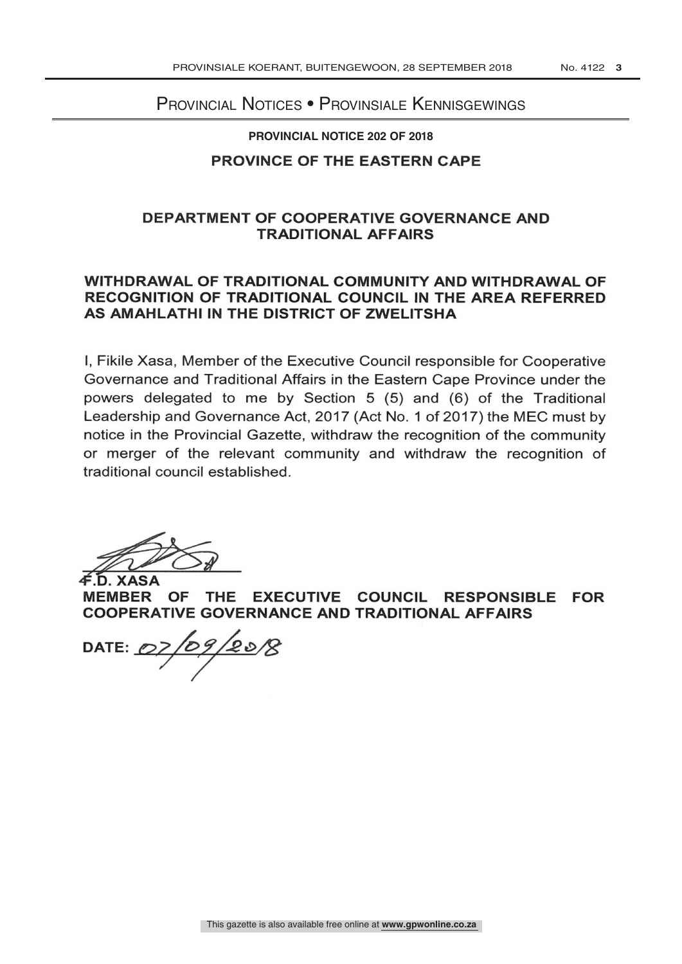# PROVINCIAL NOTICES • PROVINSIALE KENNISGEWINGS

#### **PROVINCIAL NOTICE 202 OF 2018**

### PROVINCE OF THE EASTERN CAPE

### DEPARTMENT OF COOPERATIVE GOVERNANCE AND TRADITIONAL AFFAIRS

## WITHDRAWAL OF TRADITIONAL COMMUNITY AND WITHDRAWAL OF RECOGNITION OF TRADITIONAL COUNCIL IN THE AREA REFERRED AS AMAHLATHI IN THE DISTRICT OF ZWELITSHA

I, Fikile Xasa, Member of the Executive Council responsible for Cooperative Governance and Traditional Affairs in the Eastern Cape Province under the powers delegated to me by Section 5 (5) and (6) of the Traditional Leadership and Governance Act, 2017 (Act No. 1 of 2017) the MEC must by notice in the Provincial Gazette, withdraw the recognition of the community or merger of the relevant community and withdraw the recognition of traditional council established.

**XASA** 

MEMBER OF THE EXECUTIVE COUNCIL RESPONSIBLE FOR COOPERATIVE GOVERNANCE AND TRADITIONAL AFFAIRS

DATE:  $OZ$